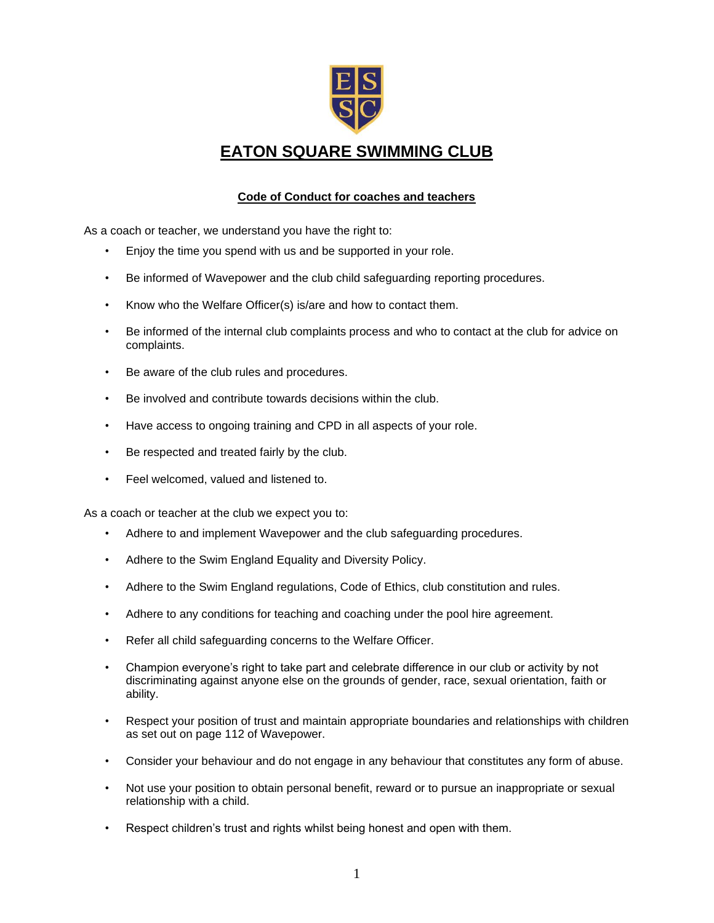

## **EATON SQUARE SWIMMING CLUB**

## **Code of Conduct for coaches and teachers**

As a coach or teacher, we understand you have the right to:

- Enjoy the time you spend with us and be supported in your role.
- Be informed of Wavepower and the club child safeguarding reporting procedures.
- Know who the Welfare Officer(s) is/are and how to contact them.
- Be informed of the internal club complaints process and who to contact at the club for advice on complaints.
- Be aware of the club rules and procedures.
- Be involved and contribute towards decisions within the club.
- Have access to ongoing training and CPD in all aspects of your role.
- Be respected and treated fairly by the club.
- Feel welcomed, valued and listened to.

As a coach or teacher at the club we expect you to:

- Adhere to and implement Wavepower and the club safeguarding procedures.
- Adhere to the Swim England Equality and Diversity Policy.
- Adhere to the Swim England regulations, Code of Ethics, club constitution and rules.
- Adhere to any conditions for teaching and coaching under the pool hire agreement.
- Refer all child safeguarding concerns to the Welfare Officer.
- Champion everyone's right to take part and celebrate difference in our club or activity by not discriminating against anyone else on the grounds of gender, race, sexual orientation, faith or ability.
- Respect your position of trust and maintain appropriate boundaries and relationships with children as set out on page 112 of Wavepower.
- Consider your behaviour and do not engage in any behaviour that constitutes any form of abuse.
- Not use your position to obtain personal benefit, reward or to pursue an inappropriate or sexual relationship with a child.
- Respect children's trust and rights whilst being honest and open with them.